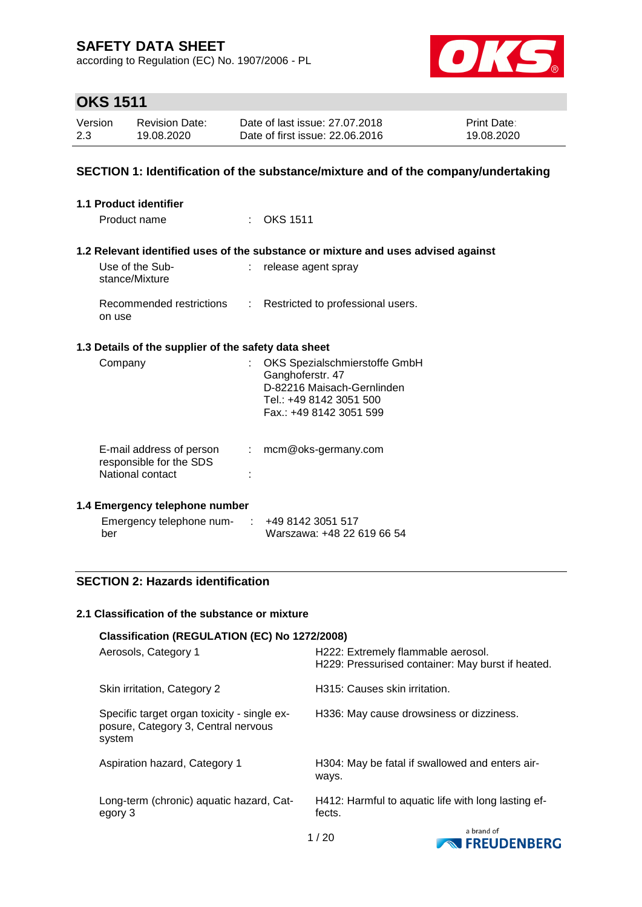according to Regulation (EC) No. 1907/2006 - PL



# **OKS 1511**

| Version | <b>Revision Date:</b> | Date of last issue: 27.07.2018  | <b>Print Date:</b> |
|---------|-----------------------|---------------------------------|--------------------|
| 2.3     | 19.08.2020            | Date of first issue: 22,06,2016 | 19.08.2020         |

### **SECTION 1: Identification of the substance/mixture and of the company/undertaking**

| 1.1 Product identifier                                                  |                                                                                                                                       |
|-------------------------------------------------------------------------|---------------------------------------------------------------------------------------------------------------------------------------|
| Product name                                                            | $\therefore$ OKS 1511                                                                                                                 |
|                                                                         | 1.2 Relevant identified uses of the substance or mixture and uses advised against                                                     |
| Use of the Sub-<br>stance/Mixture                                       | : release agent spray                                                                                                                 |
| Recommended restrictions<br>on use                                      | : Restricted to professional users.                                                                                                   |
| 1.3 Details of the supplier of the safety data sheet                    |                                                                                                                                       |
| Company                                                                 | OKS Spezialschmierstoffe GmbH<br>Ganghoferstr. 47<br>D-82216 Maisach-Gernlinden<br>Tel.: +49 8142 3051 500<br>Fax.: +49 8142 3051 599 |
| E-mail address of person<br>responsible for the SDS<br>National contact | mcm@oks-germany.com<br>$\mathcal{L}^{\text{max}}$                                                                                     |

#### **1.4 Emergency telephone number**

| Emergency telephone num- | $\div$ +49 8142 3051 517   |
|--------------------------|----------------------------|
| ber                      | Warszawa: +48 22 619 66 54 |

### **SECTION 2: Hazards identification**

#### **2.1 Classification of the substance or mixture**

| Classification (REGULATION (EC) No 1272/2008)                                                |                                                                                         |
|----------------------------------------------------------------------------------------------|-----------------------------------------------------------------------------------------|
| Aerosols, Category 1                                                                         | H222: Extremely flammable aerosol.<br>H229: Pressurised container: May burst if heated. |
| Skin irritation, Category 2                                                                  | H315: Causes skin irritation.                                                           |
| Specific target organ toxicity - single ex-<br>posure, Category 3, Central nervous<br>system | H336: May cause drowsiness or dizziness.                                                |
| Aspiration hazard, Category 1                                                                | H304: May be fatal if swallowed and enters air-<br>ways.                                |
| Long-term (chronic) aquatic hazard, Cat-<br>egory 3                                          | H412: Harmful to aquatic life with long lasting ef-<br>fects.                           |
|                                                                                              | a brand of                                                                              |

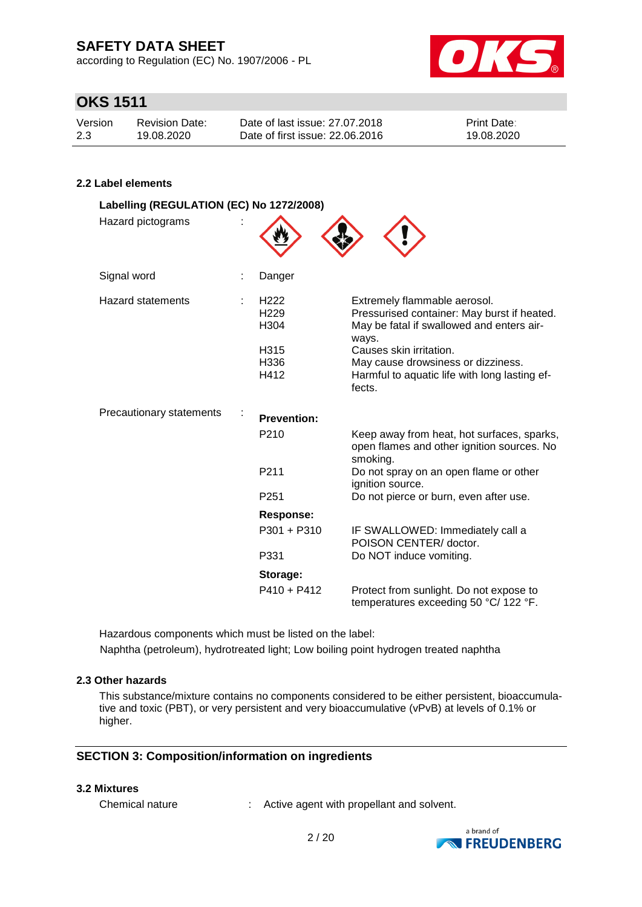according to Regulation (EC) No. 1907/2006 - PL



## **OKS 1511**

| Version | <b>Revision Date:</b> | Date of last issue: 27.07.2018  | <b>Print Date:</b> |
|---------|-----------------------|---------------------------------|--------------------|
| 2.3     | 19.08.2020            | Date of first issue: 22,06,2016 | 19.08.2020         |

### **2.2 Label elements**

| Labelling (REGULATION (EC) No 1272/2008)<br>Hazard pictograms |                                                                      |                                                                                                                                                                                                                                                               |
|---------------------------------------------------------------|----------------------------------------------------------------------|---------------------------------------------------------------------------------------------------------------------------------------------------------------------------------------------------------------------------------------------------------------|
| Signal word                                                   | Danger                                                               |                                                                                                                                                                                                                                                               |
| <b>Hazard statements</b>                                      | H <sub>222</sub><br>H <sub>229</sub><br>H304<br>H315<br>H336<br>H412 | Extremely flammable aerosol.<br>Pressurised container: May burst if heated.<br>May be fatal if swallowed and enters air-<br>ways.<br>Causes skin irritation.<br>May cause drowsiness or dizziness.<br>Harmful to aquatic life with long lasting ef-<br>fects. |
| Precautionary statements                                      | <b>Prevention:</b>                                                   |                                                                                                                                                                                                                                                               |
|                                                               | P210                                                                 | Keep away from heat, hot surfaces, sparks,<br>open flames and other ignition sources. No<br>smoking.                                                                                                                                                          |
|                                                               | P211                                                                 | Do not spray on an open flame or other<br>ignition source.                                                                                                                                                                                                    |
|                                                               | P <sub>251</sub>                                                     | Do not pierce or burn, even after use.                                                                                                                                                                                                                        |
|                                                               | <b>Response:</b>                                                     |                                                                                                                                                                                                                                                               |
|                                                               | $P301 + P310$                                                        | IF SWALLOWED: Immediately call a<br>POISON CENTER/ doctor.                                                                                                                                                                                                    |
|                                                               | P331                                                                 | Do NOT induce vomiting.                                                                                                                                                                                                                                       |
|                                                               | Storage:                                                             |                                                                                                                                                                                                                                                               |
|                                                               | $P410 + P412$                                                        | Protect from sunlight. Do not expose to<br>temperatures exceeding 50 °C/ 122 °F.                                                                                                                                                                              |

Hazardous components which must be listed on the label: Naphtha (petroleum), hydrotreated light; Low boiling point hydrogen treated naphtha

### **2.3 Other hazards**

This substance/mixture contains no components considered to be either persistent, bioaccumulative and toxic (PBT), or very persistent and very bioaccumulative (vPvB) at levels of 0.1% or higher.

#### **SECTION 3: Composition/information on ingredients**

#### **3.2 Mixtures**

Chemical nature : Active agent with propellant and solvent.

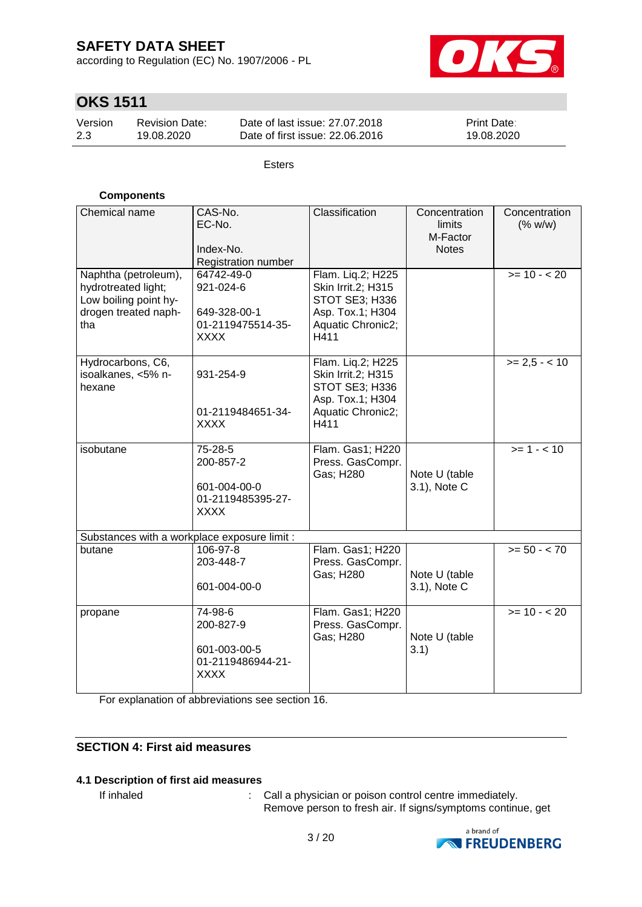according to Regulation (EC) No. 1907/2006 - PL



# **OKS 1511**

| Version | <b>Revision Date:</b> | Date of last issue: 27.07.2018  | <b>Print Date:</b> |
|---------|-----------------------|---------------------------------|--------------------|
| 2.3     | 19.08.2020            | Date of first issue: 22,06,2016 | 19.08.2020         |

Esters

### **Components**

| Chemical name<br>Naphtha (petroleum),<br>hydrotreated light;<br>Low boiling point hy-<br>drogen treated naph-<br>tha | CAS-No.<br>EC-No.<br>Index-No.<br>Registration number<br>64742-49-0<br>921-024-6<br>649-328-00-1<br>01-2119475514-35-<br><b>XXXX</b> | Classification<br>Flam. Liq.2; H225<br>Skin Irrit.2; H315<br>STOT SE3; H336<br>Asp. Tox.1; H304<br>Aquatic Chronic2;<br>H411 | Concentration<br>limits<br>M-Factor<br><b>Notes</b> | Concentration<br>(% w/w)<br>$>= 10 - 20$ |
|----------------------------------------------------------------------------------------------------------------------|--------------------------------------------------------------------------------------------------------------------------------------|------------------------------------------------------------------------------------------------------------------------------|-----------------------------------------------------|------------------------------------------|
| Hydrocarbons, C6,<br>isoalkanes, <5% n-<br>hexane                                                                    | 931-254-9<br>01-2119484651-34-<br><b>XXXX</b>                                                                                        | Flam. Liq.2; H225<br>Skin Irrit.2; H315<br>STOT SE3; H336<br>Asp. Tox.1; H304<br>Aquatic Chronic2;<br>H411                   |                                                     | $>= 2.5 - < 10$                          |
| isobutane                                                                                                            | 75-28-5<br>200-857-2<br>601-004-00-0<br>01-2119485395-27-<br><b>XXXX</b>                                                             | Flam. Gas1; H220<br>Press. GasCompr.<br>Gas; H280                                                                            | Note U (table<br>3.1), Note C                       | $>= 1 - 10$                              |
| Substances with a workplace exposure limit :                                                                         |                                                                                                                                      |                                                                                                                              |                                                     |                                          |
| butane                                                                                                               | 106-97-8<br>203-448-7<br>601-004-00-0                                                                                                | Flam. Gas1; H220<br>Press. GasCompr.<br>Gas; H280                                                                            | Note U (table<br>3.1), Note C                       | $>= 50 - < 70$                           |
| propane                                                                                                              | 74-98-6<br>200-827-9<br>601-003-00-5<br>01-2119486944-21-<br><b>XXXX</b>                                                             | Flam. Gas1; H220<br>Press. GasCompr.<br>Gas; H280                                                                            | Note U (table<br>3.1)                               | $>= 10 - 20$                             |

For explanation of abbreviations see section 16.

### **SECTION 4: First aid measures**

#### **4.1 Description of first aid measures**

If inhaled : Call a physician or poison control centre immediately. Remove person to fresh air. If signs/symptoms continue, get

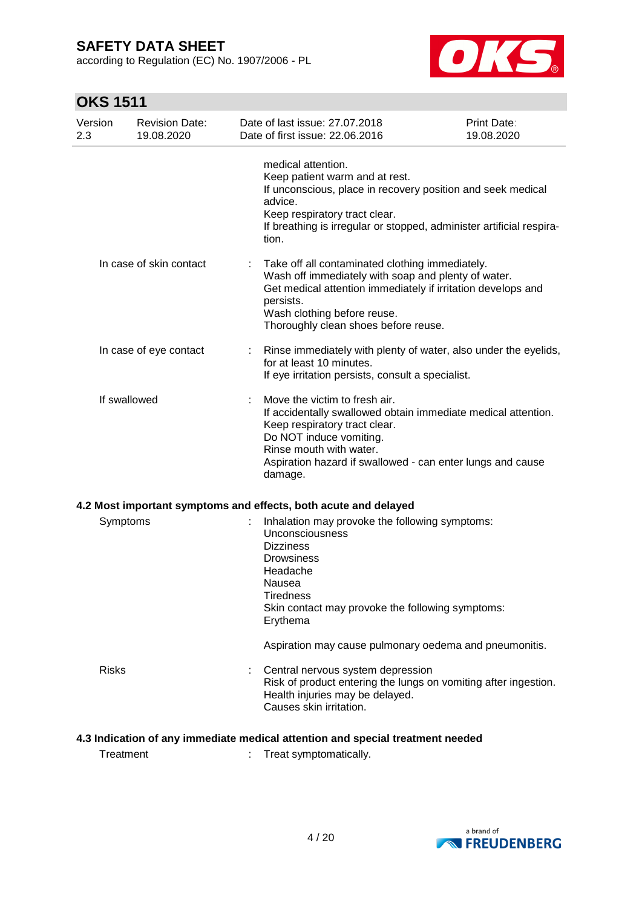according to Regulation (EC) No. 1907/2006 - PL



# **OKS 1511**

| Version<br>2.3 | <b>Revision Date:</b><br>19.08.2020 | Date of last issue: 27.07.2018<br>Date of first issue: 22.06.2016                                                                                                                                                                                              | Print Date:<br>19.08.2020 |
|----------------|-------------------------------------|----------------------------------------------------------------------------------------------------------------------------------------------------------------------------------------------------------------------------------------------------------------|---------------------------|
|                |                                     | medical attention.<br>Keep patient warm and at rest.<br>If unconscious, place in recovery position and seek medical<br>advice.<br>Keep respiratory tract clear.<br>If breathing is irregular or stopped, administer artificial respira-<br>tion.               |                           |
|                | In case of skin contact             | Take off all contaminated clothing immediately.<br>Wash off immediately with soap and plenty of water.<br>Get medical attention immediately if irritation develops and<br>persists.<br>Wash clothing before reuse.<br>Thoroughly clean shoes before reuse.     |                           |
|                | In case of eye contact              | Rinse immediately with plenty of water, also under the eyelids,<br>for at least 10 minutes.<br>If eye irritation persists, consult a specialist.                                                                                                               |                           |
| If swallowed   |                                     | Move the victim to fresh air.<br>If accidentally swallowed obtain immediate medical attention.<br>Keep respiratory tract clear.<br>Do NOT induce vomiting.<br>Rinse mouth with water.<br>Aspiration hazard if swallowed - can enter lungs and cause<br>damage. |                           |
|                |                                     | 4.2 Most important symptoms and effects, both acute and delayed                                                                                                                                                                                                |                           |
| Symptoms       |                                     | Inhalation may provoke the following symptoms:<br>Unconsciousness<br><b>Dizziness</b><br><b>Drowsiness</b><br>Headache<br>Nausea<br><b>Tiredness</b><br>Skin contact may provoke the following symptoms:<br>Erythema                                           |                           |
|                |                                     | Aspiration may cause pulmonary oedema and pneumonitis.                                                                                                                                                                                                         |                           |
| <b>Risks</b>   |                                     | Central nervous system depression<br>Risk of product entering the lungs on vomiting after ingestion.<br>Health injuries may be delayed.<br>Causes skin irritation.                                                                                             |                           |

### **4.3 Indication of any immediate medical attention and special treatment needed**

Treatment : Treat symptomatically.

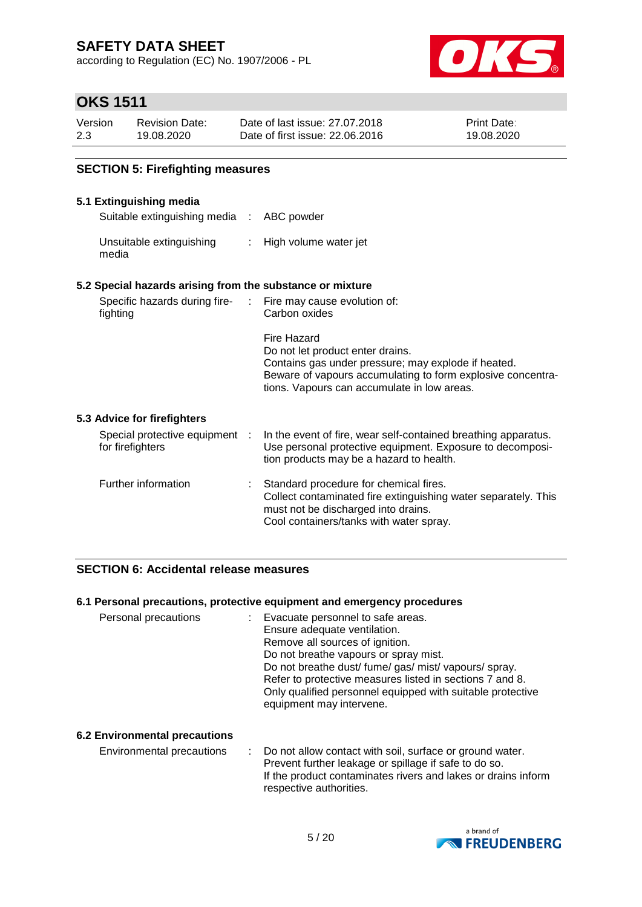according to Regulation (EC) No. 1907/2006 - PL



### **OKS 1511**

| Version | <b>Revision Date:</b> | Date of last issue: 27,07,2018  | <b>Print Date:</b> |
|---------|-----------------------|---------------------------------|--------------------|
| 2.3     | 19.08.2020            | Date of first issue: 22.06.2016 | 19.08.2020         |

### **SECTION 5: Firefighting measures**

#### **5.1 Extinguishing media**

Suitable extinguishing media : ABC powder

Unsuitable extinguishing media : High volume water jet

#### **5.2 Special hazards arising from the substance or mixture**

| Specific hazards during fire-<br>fighting          | : Fire may cause evolution of:<br>Carbon oxides                                                                                                                                                                      |
|----------------------------------------------------|----------------------------------------------------------------------------------------------------------------------------------------------------------------------------------------------------------------------|
|                                                    | Fire Hazard<br>Do not let product enter drains.<br>Contains gas under pressure; may explode if heated.<br>Beware of vapours accumulating to form explosive concentra-<br>tions. Vapours can accumulate in low areas. |
| 5.3 Advice for firefighters                        |                                                                                                                                                                                                                      |
| Special protective equipment :<br>for firefighters | In the event of fire, wear self-contained breathing apparatus.<br>Use personal protective equipment. Exposure to decomposi-<br>tion products may be a hazard to health.                                              |
| Further information                                | Standard procedure for chemical fires.                                                                                                                                                                               |

#### Further information : Standard procedure for chemical fires. Collect contaminated fire extinguishing water separately. This must not be discharged into drains. Cool containers/tanks with water spray.

### **SECTION 6: Accidental release measures**

#### **6.1 Personal precautions, protective equipment and emergency procedures**

| Personal precautions | Evacuate personnel to safe areas.<br>Ensure adequate ventilation.<br>Remove all sources of ignition.<br>Do not breathe vapours or spray mist.<br>Do not breathe dust/fume/gas/mist/vapours/spray.<br>Refer to protective measures listed in sections 7 and 8.<br>Only qualified personnel equipped with suitable protective<br>equipment may intervene. |
|----------------------|---------------------------------------------------------------------------------------------------------------------------------------------------------------------------------------------------------------------------------------------------------------------------------------------------------------------------------------------------------|
|----------------------|---------------------------------------------------------------------------------------------------------------------------------------------------------------------------------------------------------------------------------------------------------------------------------------------------------------------------------------------------------|

#### **6.2 Environmental precautions**

Environmental precautions : Do not allow contact with soil, surface or ground water. Prevent further leakage or spillage if safe to do so. If the product contaminates rivers and lakes or drains inform respective authorities.

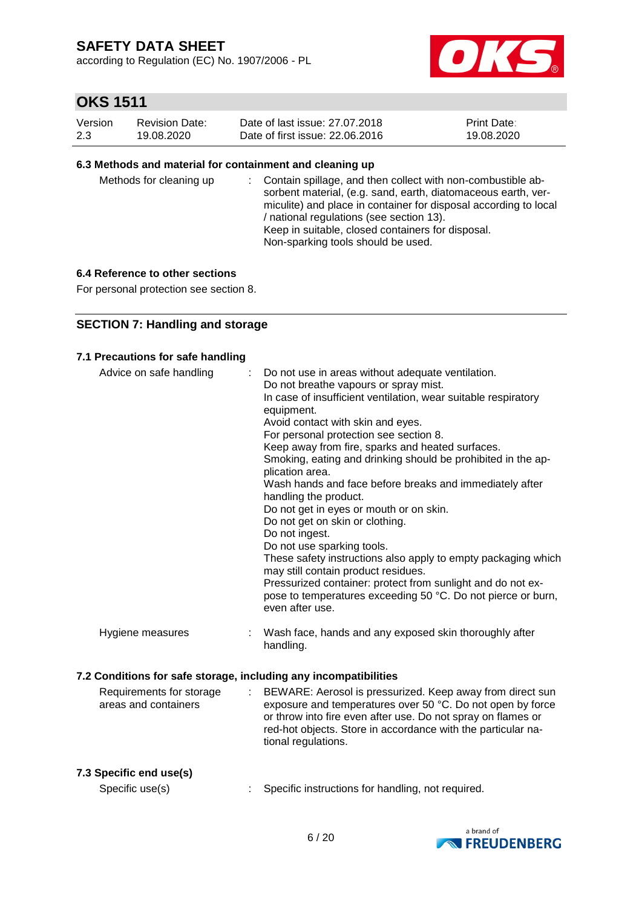according to Regulation (EC) No. 1907/2006 - PL



# **OKS 1511**

| Version | Revision Date: | Date of last issue: 27.07.2018  | <b>Print Date:</b> |
|---------|----------------|---------------------------------|--------------------|
| 2.3     | 19.08.2020     | Date of first issue: 22,06,2016 | 19.08.2020         |

#### **6.3 Methods and material for containment and cleaning up**

| Methods for cleaning up |  | : Contain spillage, and then collect with non-combustible ab-<br>sorbent material, (e.g. sand, earth, diatomaceous earth, ver-<br>miculite) and place in container for disposal according to local<br>/ national regulations (see section 13).<br>Keep in suitable, closed containers for disposal.<br>Non-sparking tools should be used. |
|-------------------------|--|-------------------------------------------------------------------------------------------------------------------------------------------------------------------------------------------------------------------------------------------------------------------------------------------------------------------------------------------|
|-------------------------|--|-------------------------------------------------------------------------------------------------------------------------------------------------------------------------------------------------------------------------------------------------------------------------------------------------------------------------------------------|

#### **6.4 Reference to other sections**

For personal protection see section 8.

### **SECTION 7: Handling and storage**

#### **7.1 Precautions for safe handling**

| Advice on safe handling                                          |   | Do not use in areas without adequate ventilation.<br>Do not breathe vapours or spray mist.<br>In case of insufficient ventilation, wear suitable respiratory<br>equipment.<br>Avoid contact with skin and eyes.<br>For personal protection see section 8.<br>Keep away from fire, sparks and heated surfaces.<br>Smoking, eating and drinking should be prohibited in the ap-<br>plication area.<br>Wash hands and face before breaks and immediately after<br>handling the product.<br>Do not get in eyes or mouth or on skin.<br>Do not get on skin or clothing.<br>Do not ingest.<br>Do not use sparking tools.<br>These safety instructions also apply to empty packaging which<br>may still contain product residues.<br>Pressurized container: protect from sunlight and do not ex-<br>pose to temperatures exceeding 50 °C. Do not pierce or burn,<br>even after use. |
|------------------------------------------------------------------|---|------------------------------------------------------------------------------------------------------------------------------------------------------------------------------------------------------------------------------------------------------------------------------------------------------------------------------------------------------------------------------------------------------------------------------------------------------------------------------------------------------------------------------------------------------------------------------------------------------------------------------------------------------------------------------------------------------------------------------------------------------------------------------------------------------------------------------------------------------------------------------|
| Hygiene measures                                                 |   | Wash face, hands and any exposed skin thoroughly after<br>handling.                                                                                                                                                                                                                                                                                                                                                                                                                                                                                                                                                                                                                                                                                                                                                                                                          |
| 7.2 Conditions for safe storage, including any incompatibilities |   |                                                                                                                                                                                                                                                                                                                                                                                                                                                                                                                                                                                                                                                                                                                                                                                                                                                                              |
| Requirements for storage<br>areas and containers                 | ÷ | BEWARE: Aerosol is pressurized. Keep away from direct sun<br>exposure and temperatures over 50 °C. Do not open by force<br>or throw into fire even after use. Do not spray on flames or<br>red-hot objects. Store in accordance with the particular na-<br>tional regulations.                                                                                                                                                                                                                                                                                                                                                                                                                                                                                                                                                                                               |

#### **7.3 Specific end use(s)**

Specific use(s) : Specific instructions for handling, not required.

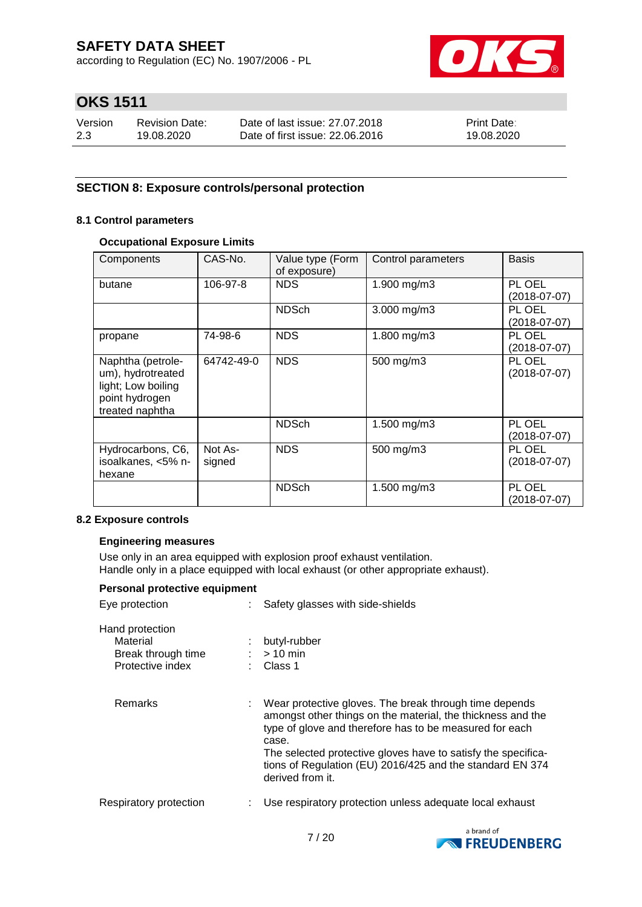according to Regulation (EC) No. 1907/2006 - PL



# **OKS 1511**

| Version | <b>Revision Date:</b> | Date of last issue: 27.07.2018  | <b>Print Date:</b> |
|---------|-----------------------|---------------------------------|--------------------|
| 2.3     | 19.08.2020            | Date of first issue: 22,06,2016 | 19.08.2020         |

### **SECTION 8: Exposure controls/personal protection**

#### **8.1 Control parameters**

#### **Occupational Exposure Limits**

| Components                                                                                        | CAS-No.           | Value type (Form<br>of exposure) | Control parameters | <b>Basis</b>             |
|---------------------------------------------------------------------------------------------------|-------------------|----------------------------------|--------------------|--------------------------|
| butane                                                                                            | 106-97-8          | <b>NDS</b>                       | 1.900 mg/m3        | PL OEL<br>$(2018-07-07)$ |
|                                                                                                   |                   | <b>NDSch</b>                     | $3.000$ mg/m $3$   | PL OEL<br>(2018-07-07)   |
| propane                                                                                           | 74-98-6           | <b>NDS</b>                       | 1.800 mg/m3        | PL OEL<br>(2018-07-07)   |
| Naphtha (petrole-<br>um), hydrotreated<br>light; Low boiling<br>point hydrogen<br>treated naphtha | 64742-49-0        | <b>NDS</b>                       | 500 mg/m3          | PL OEL<br>$(2018-07-07)$ |
|                                                                                                   |                   | <b>NDSch</b>                     | 1.500 mg/m3        | PL OEL<br>(2018-07-07)   |
| Hydrocarbons, C6,<br>isoalkanes, <5% n-<br>hexane                                                 | Not As-<br>signed | <b>NDS</b>                       | 500 mg/m3          | PL OEL<br>(2018-07-07)   |
|                                                                                                   |                   | <b>NDSch</b>                     | 1.500 mg/m3        | PL OEL<br>(2018-07-07)   |

#### **8.2 Exposure controls**

#### **Engineering measures**

Use only in an area equipped with explosion proof exhaust ventilation. Handle only in a place equipped with local exhaust (or other appropriate exhaust).

| Personal protective equipment                                         |    |                                                                                                                                                                                                                                                                                                                                             |  |  |  |  |  |
|-----------------------------------------------------------------------|----|---------------------------------------------------------------------------------------------------------------------------------------------------------------------------------------------------------------------------------------------------------------------------------------------------------------------------------------------|--|--|--|--|--|
| Eye protection                                                        |    | : Safety glasses with side-shields                                                                                                                                                                                                                                                                                                          |  |  |  |  |  |
| Hand protection<br>Material<br>Break through time<br>Protective index |    | butyl-rubber<br>$:$ > 10 min<br>: Class 1                                                                                                                                                                                                                                                                                                   |  |  |  |  |  |
| <b>Remarks</b>                                                        | t. | Wear protective gloves. The break through time depends<br>amongst other things on the material, the thickness and the<br>type of glove and therefore has to be measured for each<br>case.<br>The selected protective gloves have to satisfy the specifica-<br>tions of Regulation (EU) 2016/425 and the standard EN 374<br>derived from it. |  |  |  |  |  |
| Respiratory protection                                                |    | Use respiratory protection unless adequate local exhaust                                                                                                                                                                                                                                                                                    |  |  |  |  |  |

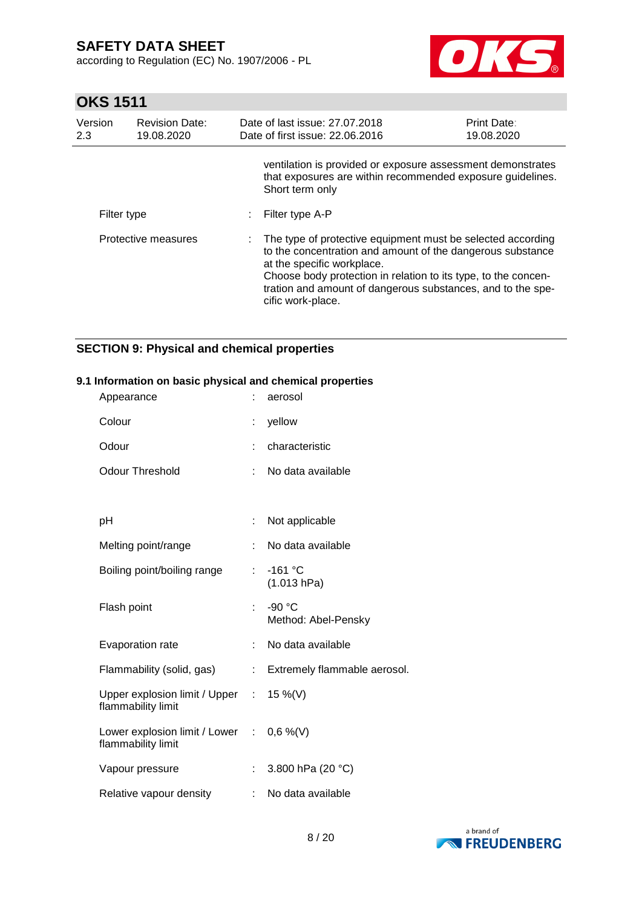according to Regulation (EC) No. 1907/2006 - PL



# **OKS 1511**

| Version<br>2.3 | <b>Revision Date:</b><br>19.08.2020 | Date of last issue: 27.07.2018<br>Date of first issue: 22.06.2016                                                                                                                                                                                                                                               | Print Date:<br>19.08.2020 |
|----------------|-------------------------------------|-----------------------------------------------------------------------------------------------------------------------------------------------------------------------------------------------------------------------------------------------------------------------------------------------------------------|---------------------------|
|                |                                     | ventilation is provided or exposure assessment demonstrates<br>that exposures are within recommended exposure guidelines.<br>Short term only                                                                                                                                                                    |                           |
| Filter type    |                                     | Filter type A-P                                                                                                                                                                                                                                                                                                 |                           |
|                | Protective measures                 | : The type of protective equipment must be selected according<br>to the concentration and amount of the dangerous substance<br>at the specific workplace.<br>Choose body protection in relation to its type, to the concen-<br>tration and amount of dangerous substances, and to the spe-<br>cific work-place. |                           |

### **SECTION 9: Physical and chemical properties**

#### **9.1 Information on basic physical and chemical properties**

| Appearance                                                     | ÷  | aerosol                       |
|----------------------------------------------------------------|----|-------------------------------|
| Colour                                                         | ÷  | yellow                        |
| Odour                                                          |    | characteristic                |
| <b>Odour Threshold</b>                                         | ÷  | No data available             |
|                                                                |    |                               |
| рH                                                             | t  | Not applicable                |
| Melting point/range                                            | ÷  | No data available             |
| Boiling point/boiling range                                    | ÷. | $-161 °C$<br>(1.013 hPa)      |
| Flash point                                                    | ÷. | -90 °C<br>Method: Abel-Pensky |
| <b>Evaporation rate</b>                                        | ÷  | No data available             |
| Flammability (solid, gas)                                      | ÷  | Extremely flammable aerosol.  |
| Upper explosion limit / Upper :<br>flammability limit          |    | 15 %(V)                       |
| Lower explosion limit / Lower : 0,6 %(V)<br>flammability limit |    |                               |
| Vapour pressure                                                | ÷. | 3.800 hPa (20 °C)             |
| Relative vapour density                                        | ÷. | No data available             |

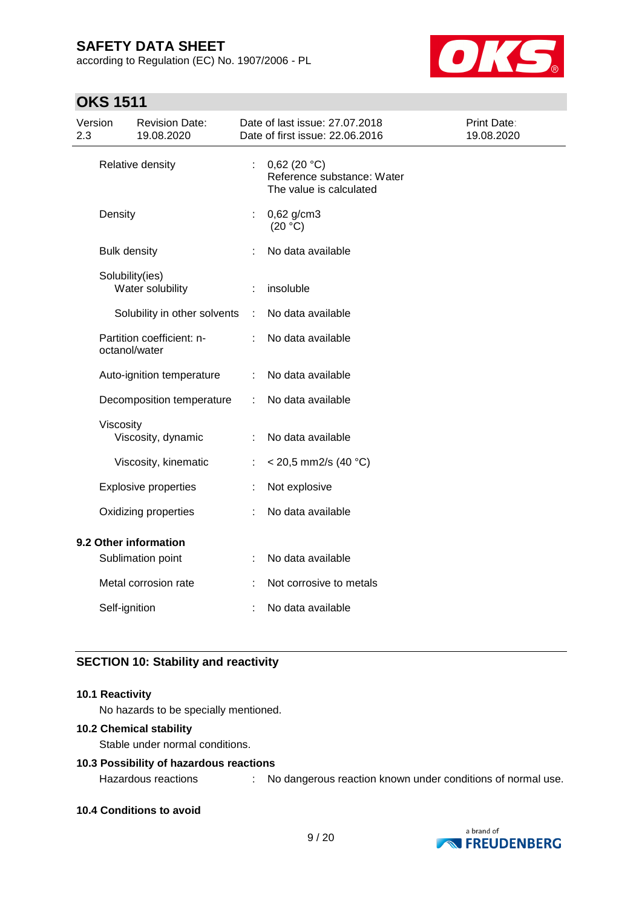according to Regulation (EC) No. 1907/2006 - PL



### **OKS 1511**

| Version<br>2.3        |                      | <b>Revision Date:</b><br>19.08.2020 |                           | Date of last issue: 27.07.2018<br>Date of first issue: 22.06.2016    | Print Date:<br>19.08.2020 |
|-----------------------|----------------------|-------------------------------------|---------------------------|----------------------------------------------------------------------|---------------------------|
|                       |                      | Relative density                    | $\mathbb{R}^{\mathbb{Z}}$ | 0,62(20 °C)<br>Reference substance: Water<br>The value is calculated |                           |
|                       | Density              |                                     | ÷                         | 0,62 g/cm3<br>(20 °C)                                                |                           |
|                       | <b>Bulk density</b>  |                                     |                           | No data available                                                    |                           |
|                       | Solubility(ies)      | Water solubility                    |                           | insoluble                                                            |                           |
|                       |                      | Solubility in other solvents        | ÷                         | No data available                                                    |                           |
|                       | octanol/water        | Partition coefficient: n-           |                           | No data available                                                    |                           |
|                       |                      | Auto-ignition temperature           | ÷                         | No data available                                                    |                           |
|                       |                      | Decomposition temperature           | ÷                         | No data available                                                    |                           |
|                       | Viscosity            | Viscosity, dynamic                  |                           | No data available                                                    |                           |
|                       |                      | Viscosity, kinematic                |                           | $<$ 20,5 mm2/s (40 °C)                                               |                           |
|                       |                      | <b>Explosive properties</b>         |                           | Not explosive                                                        |                           |
|                       | Oxidizing properties |                                     |                           | No data available                                                    |                           |
| 9.2 Other information |                      |                                     |                           |                                                                      |                           |
|                       |                      | Sublimation point                   |                           | No data available                                                    |                           |
|                       |                      | Metal corrosion rate                |                           | Not corrosive to metals                                              |                           |
|                       | Self-ignition        |                                     |                           | No data available                                                    |                           |

### **SECTION 10: Stability and reactivity**

### **10.1 Reactivity**

No hazards to be specially mentioned.

#### **10.2 Chemical stability**

Stable under normal conditions.

### **10.3 Possibility of hazardous reactions**

Hazardous reactions : No dangerous reaction known under conditions of normal use.

#### **10.4 Conditions to avoid**

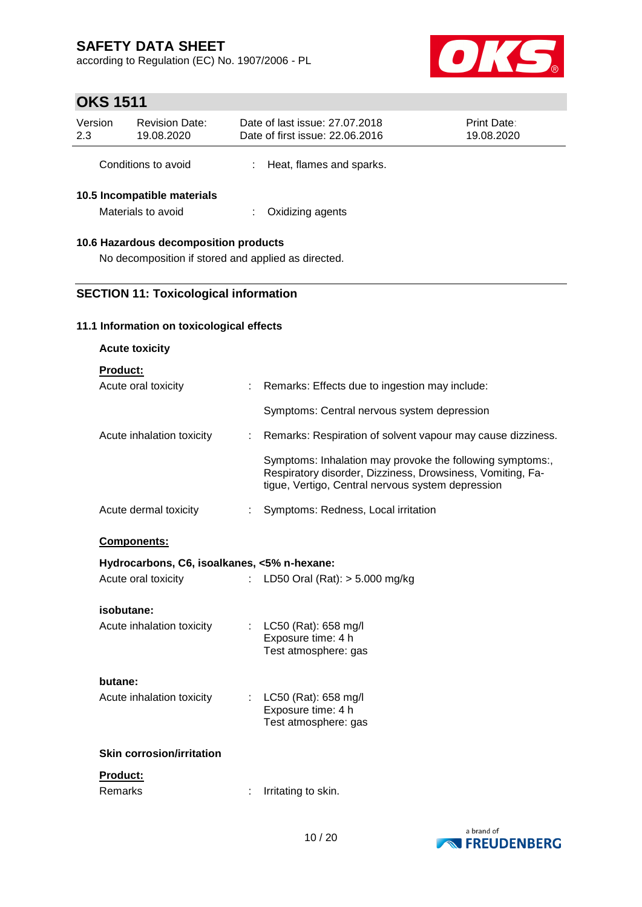according to Regulation (EC) No. 1907/2006 - PL



# **OKS 1511**

| Version<br>2.3                                    | <b>Revision Date:</b><br>19.08.2020 |  | Date of last issue: 27.07.2018<br>Date of first issue: 22.06.2016 | <b>Print Date:</b><br>19.08.2020 |  |  |
|---------------------------------------------------|-------------------------------------|--|-------------------------------------------------------------------|----------------------------------|--|--|
|                                                   | Conditions to avoid                 |  | Heat, flames and sparks.                                          |                                  |  |  |
| 10.5 Incompatible materials<br>Materials to avoid |                                     |  | Oxidizing agents                                                  |                                  |  |  |
| 10.6 Hazardous decomposition products             |                                     |  |                                                                   |                                  |  |  |

### No decomposition if stored and applied as directed.

### **SECTION 11: Toxicological information**

#### **11.1 Information on toxicological effects**

| <b>Acute toxicity</b>                       |                             |                                                                                                                                                                              |
|---------------------------------------------|-----------------------------|------------------------------------------------------------------------------------------------------------------------------------------------------------------------------|
| Product:                                    |                             |                                                                                                                                                                              |
| Acute oral toxicity                         | ÷.                          | Remarks: Effects due to ingestion may include:                                                                                                                               |
|                                             |                             | Symptoms: Central nervous system depression                                                                                                                                  |
| Acute inhalation toxicity                   | ÷                           | Remarks: Respiration of solvent vapour may cause dizziness.                                                                                                                  |
|                                             |                             | Symptoms: Inhalation may provoke the following symptoms:,<br>Respiratory disorder, Dizziness, Drowsiness, Vomiting, Fa-<br>tigue, Vertigo, Central nervous system depression |
| Acute dermal toxicity                       | $\mathbb{R}^{\mathbb{Z}}$   | Symptoms: Redness, Local irritation                                                                                                                                          |
| <b>Components:</b>                          |                             |                                                                                                                                                                              |
| Hydrocarbons, C6, isoalkanes, <5% n-hexane: |                             |                                                                                                                                                                              |
| Acute oral toxicity                         | $\mathcal{L}^{\mathcal{L}}$ | LD50 Oral (Rat): $> 5.000$ mg/kg                                                                                                                                             |
| isobutane:                                  |                             |                                                                                                                                                                              |
| Acute inhalation toxicity                   |                             | LC50 (Rat): 658 mg/l<br>Exposure time: 4 h                                                                                                                                   |
|                                             |                             | Test atmosphere: gas                                                                                                                                                         |
| butane:                                     |                             |                                                                                                                                                                              |
| Acute inhalation toxicity                   |                             | : $LC50$ (Rat): 658 mg/l                                                                                                                                                     |
|                                             |                             | Exposure time: 4 h<br>Test atmosphere: gas                                                                                                                                   |
| <b>Skin corrosion/irritation</b>            |                             |                                                                                                                                                                              |
|                                             |                             |                                                                                                                                                                              |
| <u>Product:</u><br>Remarks                  |                             | Irritating to skin.                                                                                                                                                          |
|                                             |                             |                                                                                                                                                                              |

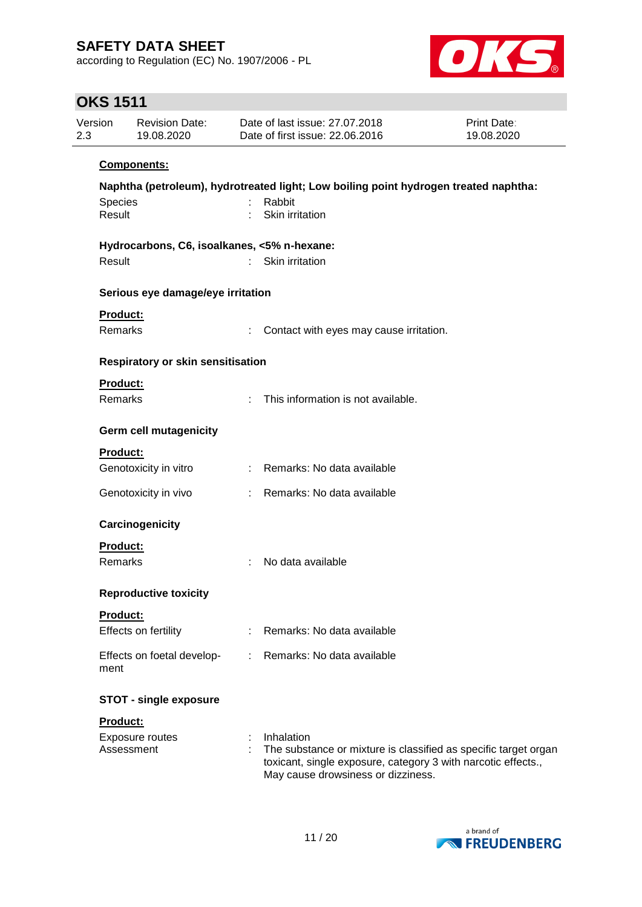according to Regulation (EC) No. 1907/2006 - PL



# **OKS 1511**

| Version<br>2.3    | <b>Revision Date:</b><br>19.08.2020         |    | Date of last issue: 27.07.2018<br>Date of first issue: 22.06.2016                                                                                                                    | <b>Print Date:</b><br>19.08.2020 |
|-------------------|---------------------------------------------|----|--------------------------------------------------------------------------------------------------------------------------------------------------------------------------------------|----------------------------------|
|                   | Components:                                 |    |                                                                                                                                                                                      |                                  |
|                   |                                             |    | Naphtha (petroleum), hydrotreated light; Low boiling point hydrogen treated naphtha:                                                                                                 |                                  |
| Species<br>Result |                                             | ÷. | Rabbit<br>Skin irritation                                                                                                                                                            |                                  |
|                   | Hydrocarbons, C6, isoalkanes, <5% n-hexane: |    |                                                                                                                                                                                      |                                  |
| Result            |                                             |    | Skin irritation                                                                                                                                                                      |                                  |
|                   | Serious eye damage/eye irritation           |    |                                                                                                                                                                                      |                                  |
|                   | <b>Product:</b>                             |    |                                                                                                                                                                                      |                                  |
|                   | Remarks                                     |    | Contact with eyes may cause irritation.                                                                                                                                              |                                  |
|                   | Respiratory or skin sensitisation           |    |                                                                                                                                                                                      |                                  |
|                   | Product:                                    |    |                                                                                                                                                                                      |                                  |
|                   | <b>Remarks</b>                              | ÷  | This information is not available.                                                                                                                                                   |                                  |
|                   | <b>Germ cell mutagenicity</b>               |    |                                                                                                                                                                                      |                                  |
|                   | Product:                                    |    |                                                                                                                                                                                      |                                  |
|                   | Genotoxicity in vitro                       |    | : Remarks: No data available                                                                                                                                                         |                                  |
|                   | Genotoxicity in vivo                        |    | : Remarks: No data available                                                                                                                                                         |                                  |
|                   | Carcinogenicity                             |    |                                                                                                                                                                                      |                                  |
|                   | <b>Product:</b>                             |    |                                                                                                                                                                                      |                                  |
|                   | Remarks                                     |    | No data available                                                                                                                                                                    |                                  |
|                   | <b>Reproductive toxicity</b>                |    |                                                                                                                                                                                      |                                  |
|                   | <b>Product:</b>                             |    |                                                                                                                                                                                      |                                  |
|                   | Effects on fertility                        |    | Remarks: No data available                                                                                                                                                           |                                  |
| ment              | Effects on foetal develop-                  |    | Remarks: No data available                                                                                                                                                           |                                  |
|                   | <b>STOT - single exposure</b>               |    |                                                                                                                                                                                      |                                  |
|                   | Product:                                    |    |                                                                                                                                                                                      |                                  |
|                   | Exposure routes<br>Assessment               |    | Inhalation<br>The substance or mixture is classified as specific target organ<br>toxicant, single exposure, category 3 with narcotic effects.,<br>May cause drowsiness or dizziness. |                                  |

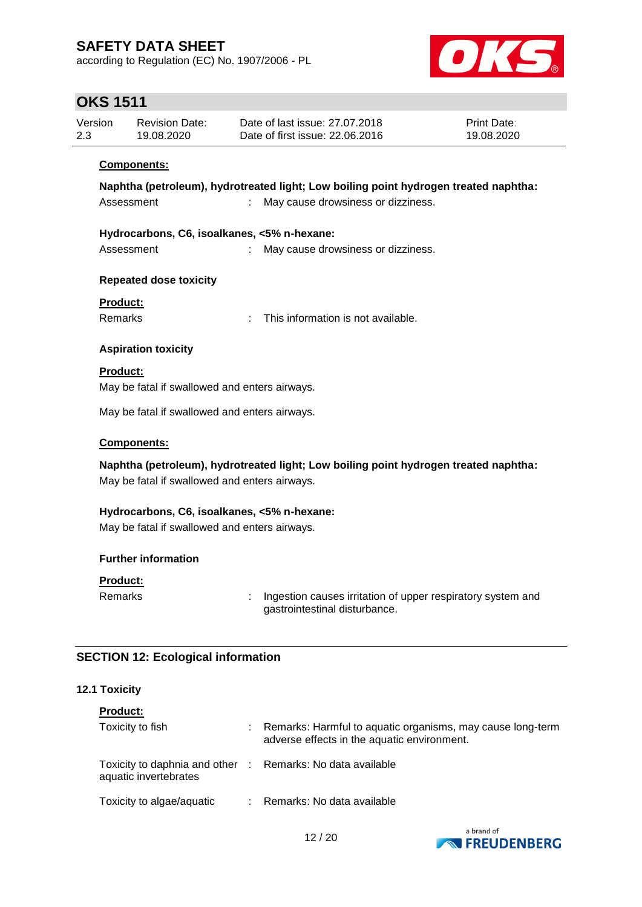according to Regulation (EC) No. 1907/2006 - PL



# **OKS 1511**

| Version<br>2.3                                                                       |                                               | <b>Revision Date:</b><br>19.08.2020           |  | Date of last issue: 27.07.2018<br>Date of first issue: 22.06.2016                            | Print Date:<br>19.08.2020 |  |  |  |  |  |
|--------------------------------------------------------------------------------------|-----------------------------------------------|-----------------------------------------------|--|----------------------------------------------------------------------------------------------|---------------------------|--|--|--|--|--|
|                                                                                      |                                               | <b>Components:</b>                            |  |                                                                                              |                           |  |  |  |  |  |
| Naphtha (petroleum), hydrotreated light; Low boiling point hydrogen treated naphtha: |                                               |                                               |  |                                                                                              |                           |  |  |  |  |  |
|                                                                                      | Assessment                                    |                                               |  | May cause drowsiness or dizziness.                                                           |                           |  |  |  |  |  |
|                                                                                      | Hydrocarbons, C6, isoalkanes, <5% n-hexane:   |                                               |  |                                                                                              |                           |  |  |  |  |  |
|                                                                                      | Assessment                                    |                                               |  | May cause drowsiness or dizziness.                                                           |                           |  |  |  |  |  |
|                                                                                      |                                               | <b>Repeated dose toxicity</b>                 |  |                                                                                              |                           |  |  |  |  |  |
|                                                                                      | <b>Product:</b>                               |                                               |  |                                                                                              |                           |  |  |  |  |  |
|                                                                                      | <b>Remarks</b>                                |                                               |  | This information is not available.                                                           |                           |  |  |  |  |  |
|                                                                                      |                                               | <b>Aspiration toxicity</b>                    |  |                                                                                              |                           |  |  |  |  |  |
|                                                                                      | <b>Product:</b>                               |                                               |  |                                                                                              |                           |  |  |  |  |  |
| May be fatal if swallowed and enters airways.                                        |                                               |                                               |  |                                                                                              |                           |  |  |  |  |  |
| May be fatal if swallowed and enters airways.                                        |                                               |                                               |  |                                                                                              |                           |  |  |  |  |  |
|                                                                                      |                                               | Components:                                   |  |                                                                                              |                           |  |  |  |  |  |
|                                                                                      |                                               |                                               |  | Naphtha (petroleum), hydrotreated light; Low boiling point hydrogen treated naphtha:         |                           |  |  |  |  |  |
|                                                                                      |                                               | May be fatal if swallowed and enters airways. |  |                                                                                              |                           |  |  |  |  |  |
|                                                                                      | Hydrocarbons, C6, isoalkanes, <5% n-hexane:   |                                               |  |                                                                                              |                           |  |  |  |  |  |
|                                                                                      | May be fatal if swallowed and enters airways. |                                               |  |                                                                                              |                           |  |  |  |  |  |
| <b>Further information</b>                                                           |                                               |                                               |  |                                                                                              |                           |  |  |  |  |  |
|                                                                                      | <b>Product:</b>                               |                                               |  |                                                                                              |                           |  |  |  |  |  |
|                                                                                      | Remarks                                       |                                               |  | Ingestion causes irritation of upper respiratory system and<br>gastrointestinal disturbance. |                           |  |  |  |  |  |

### **SECTION 12: Ecological information**

### **12.1 Toxicity**

| <b>Product:</b>                                          |                                                                                                           |
|----------------------------------------------------------|-----------------------------------------------------------------------------------------------------------|
| Toxicity to fish                                         | Remarks: Harmful to aquatic organisms, may cause long-term<br>adverse effects in the aquatic environment. |
| Toxicity to daphnia and other :<br>aquatic invertebrates | Remarks: No data available                                                                                |
| Toxicity to algae/aquatic                                | Remarks: No data available                                                                                |

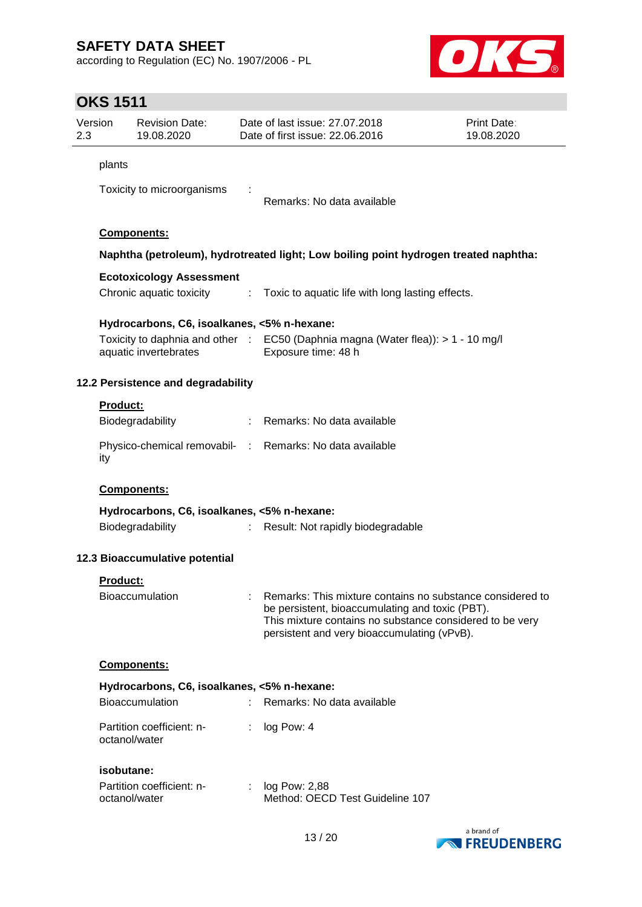according to Regulation (EC) No. 1907/2006 - PL



# **OKS 1511**

| 2.3         | Version                                                                              | <b>Revision Date:</b><br>19.08.2020         |                             | Date of last issue: 27.07.2018<br>Date of first issue: 22.06.2016                                                                                                                                                       | <b>Print Date:</b><br>19.08.2020 |  |  |  |  |
|-------------|--------------------------------------------------------------------------------------|---------------------------------------------|-----------------------------|-------------------------------------------------------------------------------------------------------------------------------------------------------------------------------------------------------------------------|----------------------------------|--|--|--|--|
|             | plants                                                                               |                                             |                             |                                                                                                                                                                                                                         |                                  |  |  |  |  |
|             |                                                                                      |                                             |                             |                                                                                                                                                                                                                         |                                  |  |  |  |  |
|             |                                                                                      | Toxicity to microorganisms                  |                             | Remarks: No data available                                                                                                                                                                                              |                                  |  |  |  |  |
|             |                                                                                      |                                             |                             |                                                                                                                                                                                                                         |                                  |  |  |  |  |
|             | Components:                                                                          |                                             |                             |                                                                                                                                                                                                                         |                                  |  |  |  |  |
|             | Naphtha (petroleum), hydrotreated light; Low boiling point hydrogen treated naphtha: |                                             |                             |                                                                                                                                                                                                                         |                                  |  |  |  |  |
|             |                                                                                      | <b>Ecotoxicology Assessment</b>             |                             |                                                                                                                                                                                                                         |                                  |  |  |  |  |
|             |                                                                                      | Chronic aquatic toxicity                    |                             | : Toxic to aquatic life with long lasting effects.                                                                                                                                                                      |                                  |  |  |  |  |
|             |                                                                                      | Hydrocarbons, C6, isoalkanes, <5% n-hexane: |                             |                                                                                                                                                                                                                         |                                  |  |  |  |  |
|             |                                                                                      |                                             |                             | Toxicity to daphnia and other : EC50 (Daphnia magna (Water flea)): > 1 - 10 mg/l                                                                                                                                        |                                  |  |  |  |  |
|             |                                                                                      | aquatic invertebrates                       |                             | Exposure time: 48 h                                                                                                                                                                                                     |                                  |  |  |  |  |
|             |                                                                                      | 12.2 Persistence and degradability          |                             |                                                                                                                                                                                                                         |                                  |  |  |  |  |
|             |                                                                                      |                                             |                             |                                                                                                                                                                                                                         |                                  |  |  |  |  |
|             | Product:                                                                             | Biodegradability                            |                             | : Remarks: No data available                                                                                                                                                                                            |                                  |  |  |  |  |
|             |                                                                                      |                                             |                             |                                                                                                                                                                                                                         |                                  |  |  |  |  |
|             | ity                                                                                  |                                             |                             | Physico-chemical removabil- : Remarks: No data available                                                                                                                                                                |                                  |  |  |  |  |
| Components: |                                                                                      |                                             |                             |                                                                                                                                                                                                                         |                                  |  |  |  |  |
|             |                                                                                      | Hydrocarbons, C6, isoalkanes, <5% n-hexane: |                             |                                                                                                                                                                                                                         |                                  |  |  |  |  |
|             |                                                                                      | Biodegradability                            | $\mathcal{L}^{\mathcal{L}}$ | Result: Not rapidly biodegradable                                                                                                                                                                                       |                                  |  |  |  |  |
|             |                                                                                      | 12.3 Bioaccumulative potential              |                             |                                                                                                                                                                                                                         |                                  |  |  |  |  |
|             | Product:                                                                             |                                             |                             |                                                                                                                                                                                                                         |                                  |  |  |  |  |
|             |                                                                                      | Bioaccumulation                             |                             | Remarks: This mixture contains no substance considered to<br>be persistent, bioaccumulating and toxic (PBT).<br>This mixture contains no substance considered to be very<br>persistent and very bioaccumulating (vPvB). |                                  |  |  |  |  |
|             |                                                                                      | Components:                                 |                             |                                                                                                                                                                                                                         |                                  |  |  |  |  |
|             |                                                                                      | Hydrocarbons, C6, isoalkanes, <5% n-hexane: |                             |                                                                                                                                                                                                                         |                                  |  |  |  |  |
|             |                                                                                      | Bioaccumulation                             |                             | Remarks: No data available                                                                                                                                                                                              |                                  |  |  |  |  |
|             |                                                                                      | Partition coefficient: n-<br>octanol/water  |                             | log Pow: 4                                                                                                                                                                                                              |                                  |  |  |  |  |
|             | isobutane:                                                                           |                                             |                             |                                                                                                                                                                                                                         |                                  |  |  |  |  |
|             |                                                                                      | Partition coefficient: n-                   | $\mathcal{L}^{\mathcal{L}}$ | log Pow: 2,88                                                                                                                                                                                                           |                                  |  |  |  |  |
|             |                                                                                      | octanol/water                               |                             | Method: OECD Test Guideline 107                                                                                                                                                                                         |                                  |  |  |  |  |
|             |                                                                                      |                                             |                             |                                                                                                                                                                                                                         |                                  |  |  |  |  |

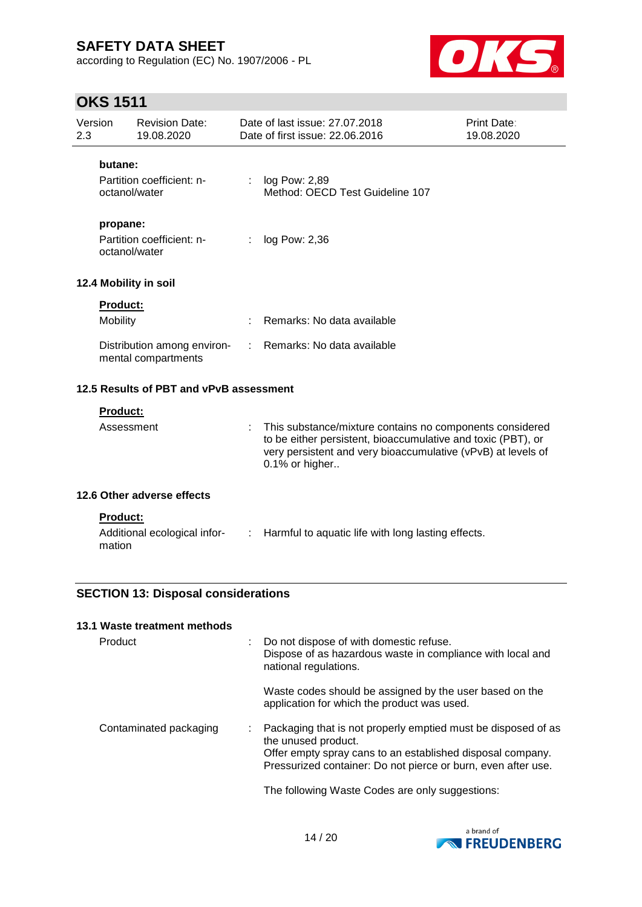**13.1 Waste treatment methods**

according to Regulation (EC) No. 1907/2006 - PL



# **OKS 1511**

| Version<br>2.3 | <b>Revision Date:</b><br>19.08.2020                       |                           | Date of last issue: 27.07.2018<br>Date of first issue: 22,06,2016                                                                                                                                          | <b>Print Date:</b><br>19.08.2020 |
|----------------|-----------------------------------------------------------|---------------------------|------------------------------------------------------------------------------------------------------------------------------------------------------------------------------------------------------------|----------------------------------|
|                | butane:<br>Partition coefficient: n-<br>octanol/water     |                           | : log Pow: 2,89<br>Method: OECD Test Guideline 107                                                                                                                                                         |                                  |
|                | propane:<br>Partition coefficient: n-<br>octanol/water    | ÷                         | log Pow: 2,36                                                                                                                                                                                              |                                  |
|                | 12.4 Mobility in soil                                     |                           |                                                                                                                                                                                                            |                                  |
|                | Product:<br>Mobility                                      |                           | Remarks: No data available                                                                                                                                                                                 |                                  |
|                | Distribution among environ-<br>mental compartments        |                           | Remarks: No data available                                                                                                                                                                                 |                                  |
|                | 12.5 Results of PBT and vPvB assessment                   |                           |                                                                                                                                                                                                            |                                  |
|                | <b>Product:</b><br>Assessment                             |                           | This substance/mixture contains no components considered<br>to be either persistent, bioaccumulative and toxic (PBT), or<br>very persistent and very bioaccumulative (vPvB) at levels of<br>0.1% or higher |                                  |
|                | 12.6 Other adverse effects                                |                           |                                                                                                                                                                                                            |                                  |
|                | <b>Product:</b><br>Additional ecological infor-<br>mation | $\mathbb{R}^{\mathbb{Z}}$ | Harmful to aquatic life with long lasting effects.                                                                                                                                                         |                                  |
|                | <b>SECTION 13: Disposal considerations</b>                |                           |                                                                                                                                                                                                            |                                  |

| Product                | Do not dispose of with domestic refuse.<br>Dispose of as hazardous waste in compliance with local and<br>national regulations.                                                                                      |
|------------------------|---------------------------------------------------------------------------------------------------------------------------------------------------------------------------------------------------------------------|
|                        | Waste codes should be assigned by the user based on the<br>application for which the product was used.                                                                                                              |
| Contaminated packaging | Packaging that is not properly emptied must be disposed of as<br>the unused product.<br>Offer empty spray cans to an established disposal company.<br>Pressurized container: Do not pierce or burn, even after use. |
|                        | The following Waste Codes are only suggestions:                                                                                                                                                                     |

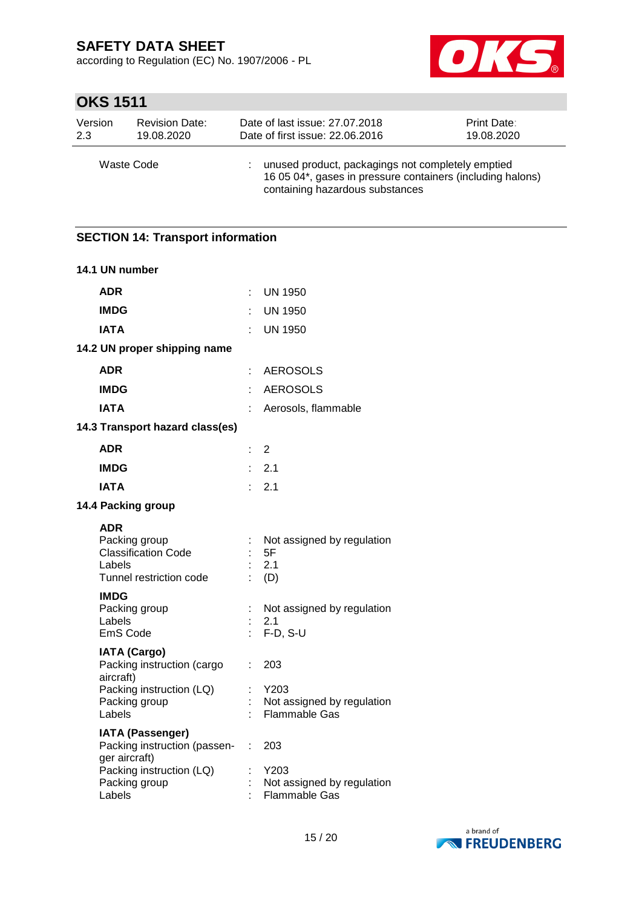according to Regulation (EC) No. 1907/2006 - PL



# **OKS 1511**

| Version    | <b>Revision Date:</b> | Date of last issue: 27.07.2018                                                                                                                     | Print Date: |
|------------|-----------------------|----------------------------------------------------------------------------------------------------------------------------------------------------|-------------|
| 2.3        | 19.08.2020            | Date of first issue: 22.06.2016                                                                                                                    | 19.08.2020  |
| Waste Code |                       | unused product, packagings not completely emptied<br>16 05 04*, gases in pressure containers (including halons)<br>containing hazardous substances |             |

### **SECTION 14: Transport information**

| 14.1 UN number                                                                                                        |                     |                                                                   |
|-----------------------------------------------------------------------------------------------------------------------|---------------------|-------------------------------------------------------------------|
| <b>ADR</b>                                                                                                            | ÷                   | <b>UN 1950</b>                                                    |
| <b>IMDG</b>                                                                                                           | ÷                   | <b>UN 1950</b>                                                    |
| <b>IATA</b>                                                                                                           |                     | <b>UN 1950</b>                                                    |
| 14.2 UN proper shipping name                                                                                          |                     |                                                                   |
| <b>ADR</b>                                                                                                            | ÷                   | AEROSOLS                                                          |
| <b>IMDG</b>                                                                                                           | ÷                   | <b>AEROSOLS</b>                                                   |
| <b>IATA</b>                                                                                                           |                     | Aerosols, flammable                                               |
| 14.3 Transport hazard class(es)                                                                                       |                     |                                                                   |
| <b>ADR</b>                                                                                                            | t.                  | $\overline{2}$                                                    |
| <b>IMDG</b>                                                                                                           |                     | 2.1                                                               |
| <b>IATA</b>                                                                                                           |                     | 2.1                                                               |
| 14.4 Packing group                                                                                                    |                     |                                                                   |
| <b>ADR</b><br>Packing group<br><b>Classification Code</b><br>Labels<br>Tunnel restriction code                        | ÷                   | Not assigned by regulation<br>5F<br>2.1<br>(D)                    |
| <b>IMDG</b><br>Packing group<br>Labels<br>EmS Code                                                                    |                     | Not assigned by regulation<br>2.1<br>$F-D, S-U$                   |
| <b>IATA (Cargo)</b><br>Packing instruction (cargo<br>aircraft)<br>Packing instruction (LQ)<br>Packing group<br>Labels | ÷                   | 203<br>Y203<br>Not assigned by regulation<br><b>Flammable Gas</b> |
| <b>IATA (Passenger)</b><br>Packing instruction (passen-<br>ger aircraft)<br>Packing instruction (LQ)<br>Packing group | $\mathbb{R}^n$<br>t | 203<br>Y203<br>Not assigned by regulation                         |
| Labels                                                                                                                |                     | <b>Flammable Gas</b>                                              |

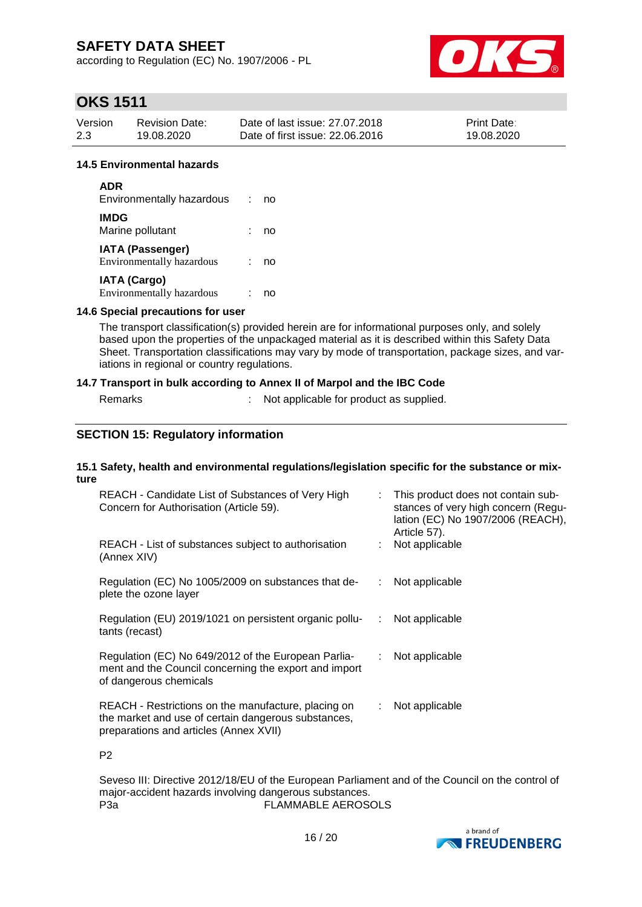according to Regulation (EC) No. 1907/2006 - PL



# **OKS 1511**

| Version | <b>Revision Date:</b> | Date of last issue: 27,07,2018  | <b>Print Date:</b> |
|---------|-----------------------|---------------------------------|--------------------|
| 2.3     | 19.08.2020            | Date of first issue: 22.06.2016 | 19.08.2020         |

#### **14.5 Environmental hazards**

| ADR<br>Environmentally hazardous                     | no |
|------------------------------------------------------|----|
| <b>IMDG</b><br>Marine pollutant                      | no |
| <b>IATA (Passenger)</b><br>Environmentally hazardous | no |
| <b>IATA (Cargo)</b><br>Environmentally hazardous     |    |

#### **14.6 Special precautions for user**

The transport classification(s) provided herein are for informational purposes only, and solely based upon the properties of the unpackaged material as it is described within this Safety Data Sheet. Transportation classifications may vary by mode of transportation, package sizes, and variations in regional or country regulations.

#### **14.7 Transport in bulk according to Annex II of Marpol and the IBC Code**

| Remarks | Not applicable for product as supplied. |
|---------|-----------------------------------------|
|         |                                         |

### **SECTION 15: Regulatory information**

#### **15.1 Safety, health and environmental regulations/legislation specific for the substance or mixture**

| REACH - Candidate List of Substances of Very High<br>Concern for Authorisation (Article 59).                                                         |     | : This product does not contain sub-<br>stances of very high concern (Regu-<br>lation (EC) No 1907/2006 (REACH),<br>Article 57). |
|------------------------------------------------------------------------------------------------------------------------------------------------------|-----|----------------------------------------------------------------------------------------------------------------------------------|
| REACH - List of substances subject to authorisation<br>(Annex XIV)                                                                                   |     | Not applicable                                                                                                                   |
| Regulation (EC) No 1005/2009 on substances that de-<br>plete the ozone layer                                                                         | t i | Not applicable                                                                                                                   |
| Regulation (EU) 2019/1021 on persistent organic pollu-<br>tants (recast)                                                                             | ÷   | Not applicable                                                                                                                   |
| Regulation (EC) No 649/2012 of the European Parlia-<br>ment and the Council concerning the export and import<br>of dangerous chemicals               |     | : Not applicable                                                                                                                 |
| REACH - Restrictions on the manufacture, placing on<br>the market and use of certain dangerous substances,<br>preparations and articles (Annex XVII) |     | Not applicable                                                                                                                   |

P2

Seveso III: Directive 2012/18/EU of the European Parliament and of the Council on the control of major-accident hazards involving dangerous substances. P3a FLAMMABLE AEROSOLS

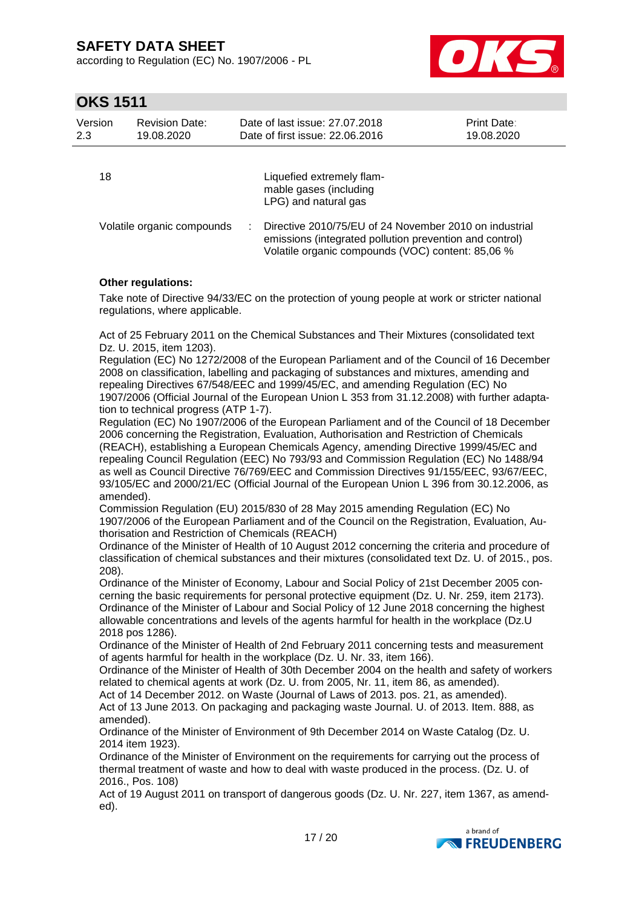according to Regulation (EC) No. 1907/2006 - PL



### **OKS 1511**

| Version<br>2.3 | <b>Revision Date:</b><br>19.08.2020 | Date of last issue: 27.07.2018<br>Date of first issue: 22.06.2016                                                 | <b>Print Date:</b><br>19.08.2020 |
|----------------|-------------------------------------|-------------------------------------------------------------------------------------------------------------------|----------------------------------|
| 18             |                                     | Liquefied extremely flam-<br>mable gases (including<br>LPG) and natural gas                                       |                                  |
|                | Volatile organic compounds          | Directive 2010/75/EU of 24 November 2010 on industrial<br>emissions (integrated pollution prevention and control) |                                  |

### **Other regulations:**

Take note of Directive 94/33/EC on the protection of young people at work or stricter national regulations, where applicable.

Volatile organic compounds (VOC) content: 85,06 %

Act of 25 February 2011 on the Chemical Substances and Their Mixtures (consolidated text Dz. U. 2015, item 1203).

Regulation (EC) No 1272/2008 of the European Parliament and of the Council of 16 December 2008 on classification, labelling and packaging of substances and mixtures, amending and repealing Directives 67/548/EEC and 1999/45/EC, and amending Regulation (EC) No 1907/2006 (Official Journal of the European Union L 353 from 31.12.2008) with further adaptation to technical progress (ATP 1-7).

Regulation (EC) No 1907/2006 of the European Parliament and of the Council of 18 December 2006 concerning the Registration, Evaluation, Authorisation and Restriction of Chemicals (REACH), establishing a European Chemicals Agency, amending Directive 1999/45/EC and repealing Council Regulation (EEC) No 793/93 and Commission Regulation (EC) No 1488/94 as well as Council Directive 76/769/EEC and Commission Directives 91/155/EEC, 93/67/EEC, 93/105/EC and 2000/21/EC (Official Journal of the European Union L 396 from 30.12.2006, as amended).

Commission Regulation (EU) 2015/830 of 28 May 2015 amending Regulation (EC) No 1907/2006 of the European Parliament and of the Council on the Registration, Evaluation, Authorisation and Restriction of Chemicals (REACH)

Ordinance of the Minister of Health of 10 August 2012 concerning the criteria and procedure of classification of chemical substances and their mixtures (consolidated text Dz. U. of 2015., pos. 208).

Ordinance of the Minister of Economy, Labour and Social Policy of 21st December 2005 concerning the basic requirements for personal protective equipment (Dz. U. Nr. 259, item 2173). Ordinance of the Minister of Labour and Social Policy of 12 June 2018 concerning the highest allowable concentrations and levels of the agents harmful for health in the workplace (Dz.U 2018 pos 1286).

Ordinance of the Minister of Health of 2nd February 2011 concerning tests and measurement of agents harmful for health in the workplace (Dz. U. Nr. 33, item 166).

Ordinance of the Minister of Health of 30th December 2004 on the health and safety of workers related to chemical agents at work (Dz. U. from 2005, Nr. 11, item 86, as amended).

Act of 14 December 2012. on Waste (Journal of Laws of 2013. pos. 21, as amended). Act of 13 June 2013. On packaging and packaging waste Journal. U. of 2013. Item. 888, as

amended).

Ordinance of the Minister of Environment of 9th December 2014 on Waste Catalog (Dz. U. 2014 item 1923).

Ordinance of the Minister of Environment on the requirements for carrying out the process of thermal treatment of waste and how to deal with waste produced in the process. (Dz. U. of 2016., Pos. 108)

Act of 19 August 2011 on transport of dangerous goods (Dz. U. Nr. 227, item 1367, as amended).

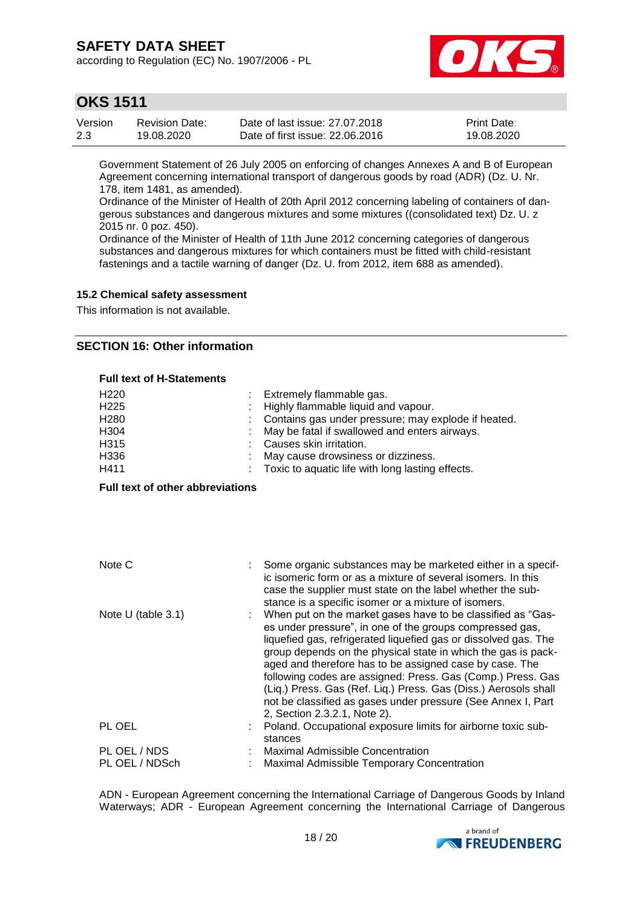according to Regulation (EC) No. 1907/2006 - PL



### **OKS 1511**

| Version | Revision Date: | Date of last issue: 27,07,2018  | <b>Print Date:</b> |
|---------|----------------|---------------------------------|--------------------|
| 2.3     | 19.08.2020     | Date of first issue: 22,06,2016 | 19.08.2020         |

Government Statement of 26 July 2005 on enforcing of changes Annexes A and B of European Agreement concerning international transport of dangerous goods by road (ADR) (Dz. U. Nr. 178, item 1481, as amended).

Ordinance of the Minister of Health of 20th April 2012 concerning labeling of containers of dangerous substances and dangerous mixtures and some mixtures ((consolidated text) Dz. U. z 2015 nr. 0 poz. 450).

Ordinance of the Minister of Health of 11th June 2012 concerning categories of dangerous substances and dangerous mixtures for which containers must be fitted with child-resistant fastenings and a tactile warning of danger (Dz. U. from 2012, item 688 as amended).

#### **15.2 Chemical safety assessment**

This information is not available.

### **SECTION 16: Other information**

#### **Full text of H-Statements**

| H <sub>220</sub><br>H <sub>225</sub><br>H <sub>280</sub><br>H304<br>H315<br>H336<br>H411 | Extremely flammable gas.<br>Highly flammable liquid and vapour.<br>Contains gas under pressure; may explode if heated.<br>May be fatal if swallowed and enters airways.<br>Causes skin irritation.<br>May cause drowsiness or dizziness.<br>Toxic to aquatic life with long lasting effects.                                                                                                                                                                                                                                                             |
|------------------------------------------------------------------------------------------|----------------------------------------------------------------------------------------------------------------------------------------------------------------------------------------------------------------------------------------------------------------------------------------------------------------------------------------------------------------------------------------------------------------------------------------------------------------------------------------------------------------------------------------------------------|
| <b>Full text of other abbreviations</b>                                                  |                                                                                                                                                                                                                                                                                                                                                                                                                                                                                                                                                          |
|                                                                                          |                                                                                                                                                                                                                                                                                                                                                                                                                                                                                                                                                          |
|                                                                                          |                                                                                                                                                                                                                                                                                                                                                                                                                                                                                                                                                          |
| Note C                                                                                   | Some organic substances may be marketed either in a specif-<br>ic isomeric form or as a mixture of several isomers. In this<br>case the supplier must state on the label whether the sub-<br>stance is a specific isomer or a mixture of isomers.                                                                                                                                                                                                                                                                                                        |
| Note U (table 3.1)                                                                       | When put on the market gases have to be classified as "Gas-<br>es under pressure", in one of the groups compressed gas,<br>liquefied gas, refrigerated liquefied gas or dissolved gas. The<br>group depends on the physical state in which the gas is pack-<br>aged and therefore has to be assigned case by case. The<br>following codes are assigned: Press. Gas (Comp.) Press. Gas<br>(Liq.) Press. Gas (Ref. Liq.) Press. Gas (Diss.) Aerosols shall<br>not be classified as gases under pressure (See Annex I, Part<br>2, Section 2.3.2.1, Note 2). |
| PL OEL                                                                                   | Poland. Occupational exposure limits for airborne toxic sub-<br>stances                                                                                                                                                                                                                                                                                                                                                                                                                                                                                  |
| PL OEL / NDS<br>PL OEL / NDSch                                                           | <b>Maximal Admissible Concentration</b><br>Maximal Admissible Temporary Concentration                                                                                                                                                                                                                                                                                                                                                                                                                                                                    |

ADN - European Agreement concerning the International Carriage of Dangerous Goods by Inland Waterways; ADR - European Agreement concerning the International Carriage of Dangerous

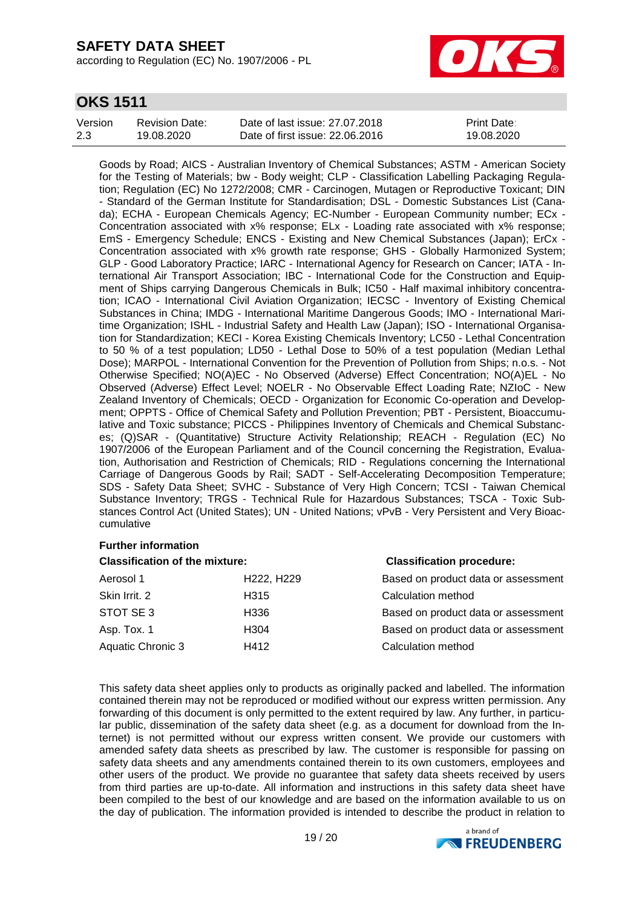according to Regulation (EC) No. 1907/2006 - PL



### **OKS 1511**

| Version | <b>Revision Date:</b> | Date of last issue: 27,07,2018  | <b>Print Date:</b> |
|---------|-----------------------|---------------------------------|--------------------|
| 2.3     | 19.08.2020            | Date of first issue: 22.06.2016 | 19.08.2020         |

Goods by Road; AICS - Australian Inventory of Chemical Substances; ASTM - American Society for the Testing of Materials; bw - Body weight; CLP - Classification Labelling Packaging Regulation; Regulation (EC) No 1272/2008; CMR - Carcinogen, Mutagen or Reproductive Toxicant; DIN - Standard of the German Institute for Standardisation; DSL - Domestic Substances List (Canada); ECHA - European Chemicals Agency; EC-Number - European Community number; ECx - Concentration associated with x% response; ELx - Loading rate associated with x% response; EmS - Emergency Schedule; ENCS - Existing and New Chemical Substances (Japan); ErCx - Concentration associated with x% growth rate response; GHS - Globally Harmonized System; GLP - Good Laboratory Practice; IARC - International Agency for Research on Cancer; IATA - International Air Transport Association; IBC - International Code for the Construction and Equipment of Ships carrying Dangerous Chemicals in Bulk; IC50 - Half maximal inhibitory concentration; ICAO - International Civil Aviation Organization; IECSC - Inventory of Existing Chemical Substances in China; IMDG - International Maritime Dangerous Goods; IMO - International Maritime Organization; ISHL - Industrial Safety and Health Law (Japan); ISO - International Organisation for Standardization; KECI - Korea Existing Chemicals Inventory; LC50 - Lethal Concentration to 50 % of a test population; LD50 - Lethal Dose to 50% of a test population (Median Lethal Dose); MARPOL - International Convention for the Prevention of Pollution from Ships; n.o.s. - Not Otherwise Specified; NO(A)EC - No Observed (Adverse) Effect Concentration; NO(A)EL - No Observed (Adverse) Effect Level; NOELR - No Observable Effect Loading Rate; NZIoC - New Zealand Inventory of Chemicals; OECD - Organization for Economic Co-operation and Development; OPPTS - Office of Chemical Safety and Pollution Prevention; PBT - Persistent, Bioaccumulative and Toxic substance; PICCS - Philippines Inventory of Chemicals and Chemical Substances; (Q)SAR - (Quantitative) Structure Activity Relationship; REACH - Regulation (EC) No 1907/2006 of the European Parliament and of the Council concerning the Registration, Evaluation, Authorisation and Restriction of Chemicals; RID - Regulations concerning the International Carriage of Dangerous Goods by Rail; SADT - Self-Accelerating Decomposition Temperature; SDS - Safety Data Sheet; SVHC - Substance of Very High Concern; TCSI - Taiwan Chemical Substance Inventory; TRGS - Technical Rule for Hazardous Substances; TSCA - Toxic Substances Control Act (United States); UN - United Nations; vPvB - Very Persistent and Very Bioaccumulative

### **Further information**

**Classification of the mixture: Classification procedure:**

| Aerosol 1         | H <sub>222</sub> , H <sub>229</sub> | Based on product data or assessment |
|-------------------|-------------------------------------|-------------------------------------|
| Skin Irrit. 2     | H315                                | Calculation method                  |
| STOT SE3          | H336                                | Based on product data or assessment |
| Asp. Tox. 1       | H <sub>304</sub>                    | Based on product data or assessment |
| Aquatic Chronic 3 | H412                                | Calculation method                  |

| Based on product data or assessment |
|-------------------------------------|
| Calculation method                  |
| Based on product data or assessment |
| Based on product data or assessment |
| Calculation method                  |

This safety data sheet applies only to products as originally packed and labelled. The information contained therein may not be reproduced or modified without our express written permission. Any forwarding of this document is only permitted to the extent required by law. Any further, in particular public, dissemination of the safety data sheet (e.g. as a document for download from the Internet) is not permitted without our express written consent. We provide our customers with amended safety data sheets as prescribed by law. The customer is responsible for passing on safety data sheets and any amendments contained therein to its own customers, employees and other users of the product. We provide no guarantee that safety data sheets received by users from third parties are up-to-date. All information and instructions in this safety data sheet have been compiled to the best of our knowledge and are based on the information available to us on the day of publication. The information provided is intended to describe the product in relation to